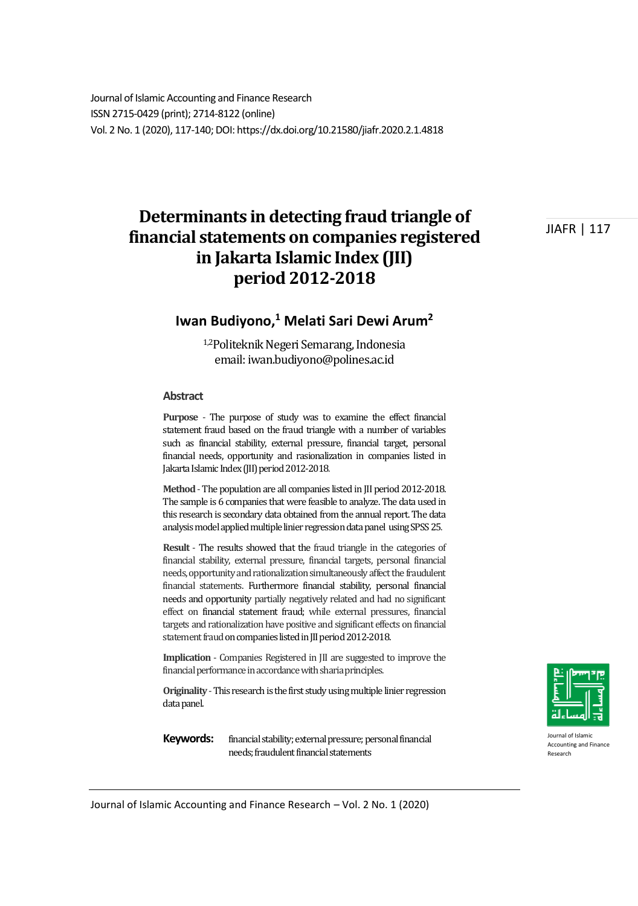Journal of Islamic Accounting and Finance Research ISSN 2715-0429 (print); 2714-8122 (online) Vol. 2 No. 1 (2020), 117-140; DOI: https://dx.doi.org/10.21580/jiafr.2020.2.1.4818

# **Determinants in detecting fraud triangle of financial statements on companies registered in Jakarta Islamic Index (JII) period 2012-2018**

JIAFR | 117

### **Iwan Budiyono,<sup>1</sup> Melati Sari Dewi Arum<sup>2</sup>**

1,2Politeknik Negeri Semarang, Indonesia email: iwan.budiyono@polines.ac.id

#### **Abstract**

**Purpose** - The purpose of study was to examine the effect financial statement fraud based on the fraud triangle with a number of variables such as financial stability, external pressure, financial target, personal financial needs, opportunity and rasionalization in companies listed in Jakarta Islamic Index (JII) period 2012-2018.

**Method** - The population are all companies listed in JII period 2012-2018. The sample is 6 companies that were feasible to analyze. The data used in this research is secondary data obtained from the annual report. The data analysis model applied multiple linier regression data panel using SPSS 25.

**Result** - The results showed that the fraud triangle in the categories of financial stability, external pressure, financial targets, personal financial needs, opportunity and rationalization simultaneously affect the fraudulent financial statements. Furthermore financial stability, personal financial needs and opportunity partially negatively related and had no significant effect on financial statement fraud; while external pressures, financial targets and rationalization have positive and significant effects on financial statement fraud on companies listed in JII period 2012-2018.

**Implication** - Companies Registered in JII are suggested to improve the financial performance in accordance with sharia principles.

**Originality** - This research is the first study using multiple linier regression data panel.

Keywords: financial stability; external pressure; personal financial needs; fraudulent financial statements



Journal of Islamic Accounting and Finance Research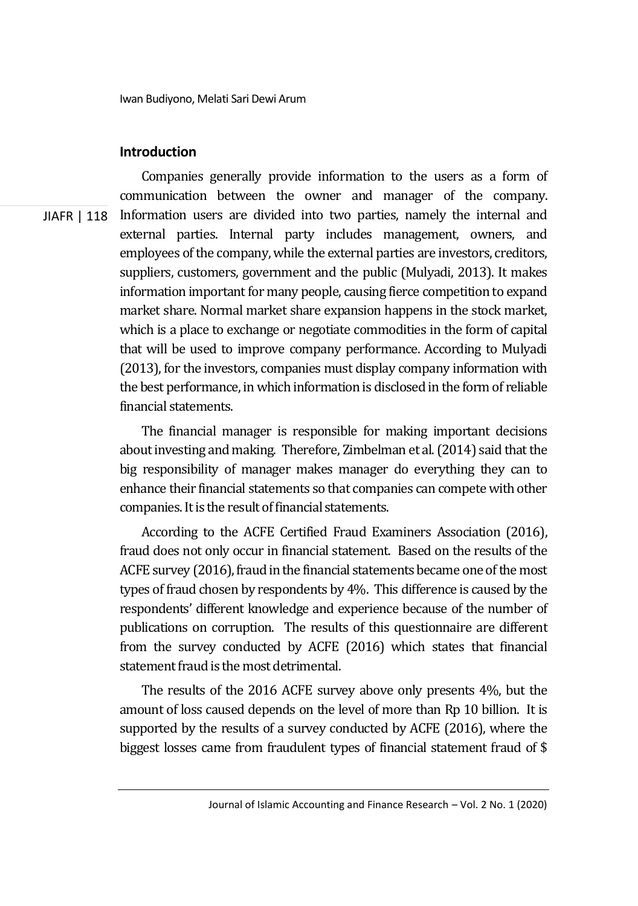#### **Introduction**

JIAFR | 118 Companies generally provide information to the users as a form of communication between the owner and manager of the company. Information users are divided into two parties, namely the internal and external parties. Internal party includes management, owners, and employees of the company, while the external parties are investors, creditors, suppliers, customers, government and the public (Mulyadi, 2013). It makes information important for many people, causing fierce competition to expand market share. Normal market share expansion happens in the stock market, which is a place to exchange or negotiate commodities in the form of capital that will be used to improve company performance. According to Mulyadi (2013), for the investors, companies must display company information with the best performance, in which information is disclosed in the form of reliable financial statements.

> The financial manager is responsible for making important decisions about investing and making. Therefore, Zimbelman et al. (2014) said that the big responsibility of manager makes manager do everything they can to enhance their financial statements so that companies can compete with other companies. It is the result of financial statements.

> According to the ACFE Certified Fraud Examiners Association (2016), fraud does not only occur in financial statement. Based on the results of the ACFE survey (2016), fraud in the financial statements became one of the most types of fraud chosen by respondents by 4%. This difference is caused by the respondents' different knowledge and experience because of the number of publications on corruption. The results of this questionnaire are different from the survey conducted by ACFE (2016) which states that financial statement fraud is the most detrimental.

> The results of the 2016 ACFE survey above only presents 4%, but the amount of loss caused depends on the level of more than Rp 10 billion. It is supported by the results of a survey conducted by ACFE (2016), where the biggest losses came from fraudulent types of financial statement fraud of \$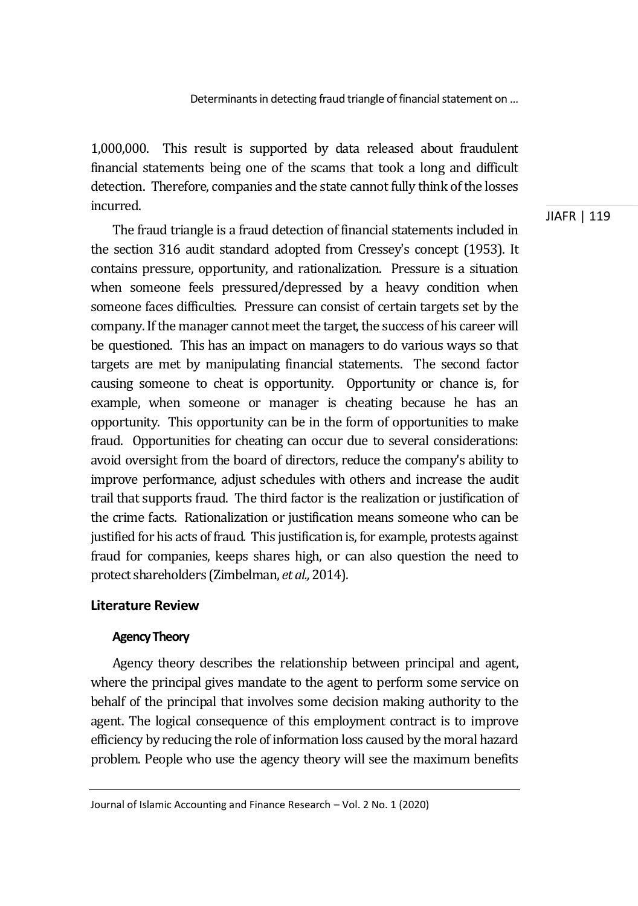1,000,000. This result is supported by data released about fraudulent financial statements being one of the scams that took a long and difficult detection. Therefore, companies and the state cannot fully think of the losses incurred.

The fraud triangle is a fraud detection of financial statements included in the section 316 audit standard adopted from Cressey's concept (1953). It contains pressure, opportunity, and rationalization. Pressure is a situation when someone feels pressured/depressed by a heavy condition when someone faces difficulties. Pressure can consist of certain targets set by the company. If the manager cannot meet the target, the success of his career will be questioned. This has an impact on managers to do various ways so that targets are met by manipulating financial statements. The second factor causing someone to cheat is opportunity. Opportunity or chance is, for example, when someone or manager is cheating because he has an opportunity. This opportunity can be in the form of opportunities to make fraud. Opportunities for cheating can occur due to several considerations: avoid oversight from the board of directors, reduce the company's ability to improve performance, adjust schedules with others and increase the audit trail that supports fraud. The third factor is the realization or justification of the crime facts. Rationalization or justification means someone who can be justified for his acts of fraud. This justification is, for example, protests against fraud for companies, keeps shares high, or can also question the need to protect shareholders (Zimbelman, *et al.,* 2014).

### **Literature Review**

### **Agency Theory**

Agency theory describes the relationship between principal and agent, where the principal gives mandate to the agent to perform some service on behalf of the principal that involves some decision making authority to the agent. The logical consequence of this employment contract is to improve efficiency by reducing the role of information loss caused by the moral hazard problem. People who use the agency theory will see the maximum benefits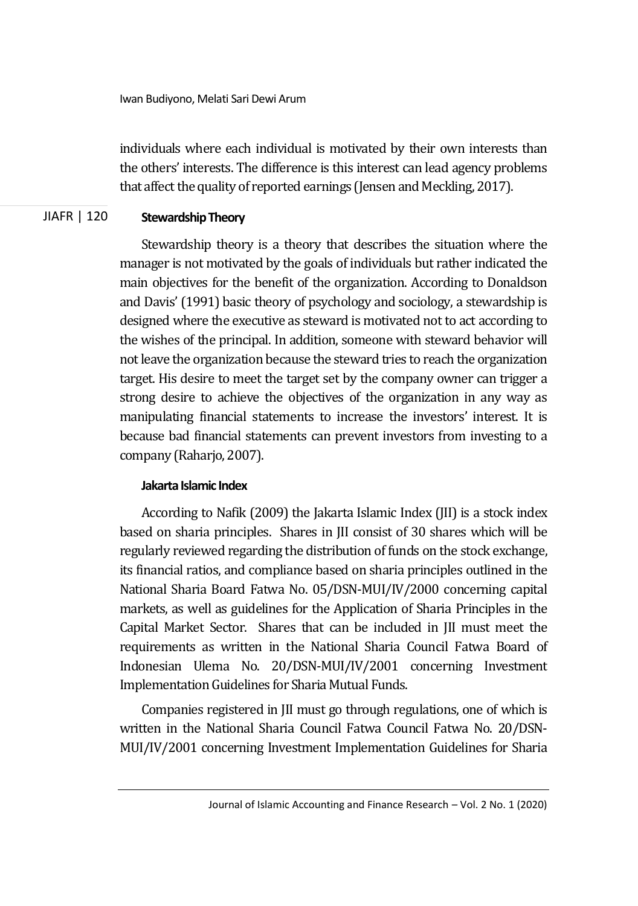Iwan Budiyono, Melati Sari Dewi Arum

individuals where each individual is motivated by their own interests than the others' interests. The difference is this interest can lead agency problems that affect the quality of reported earnings (Jensen and Meckling, 2017).

#### JIAFR | 120 **Stewardship Theory**

Stewardship theory is a theory that describes the situation where the manager is not motivated by the goals of individuals but rather indicated the main objectives for the benefit of the organization. According to Donaldson and Davis' (1991) basic theory of psychology and sociology, a stewardship is designed where the executive as steward is motivated not to act according to the wishes of the principal. In addition, someone with steward behavior will not leave the organization because the steward tries to reach the organization target. His desire to meet the target set by the company owner can trigger a strong desire to achieve the objectives of the organization in any way as manipulating financial statements to increase the investors' interest. It is because bad financial statements can prevent investors from investing to a company (Raharjo, 2007).

### **Jakarta Islamic Index**

According to Nafik (2009) the Jakarta Islamic Index (JII) is a stock index based on sharia principles. Shares in JII consist of 30 shares which will be regularly reviewed regarding the distribution of funds on the stock exchange, its financial ratios, and compliance based on sharia principles outlined in the National Sharia Board Fatwa No. 05/DSN-MUI/IV/2000 concerning capital markets, as well as guidelines for the Application of Sharia Principles in the Capital Market Sector. Shares that can be included in JII must meet the requirements as written in the National Sharia Council Fatwa Board of Indonesian Ulema No. 20/DSN-MUI/IV/2001 concerning Investment Implementation Guidelines for Sharia Mutual Funds.

Companies registered in JII must go through regulations, one of which is written in the National Sharia Council Fatwa Council Fatwa No. 20/DSN-MUI/IV/2001 concerning Investment Implementation Guidelines for Sharia

Journal of Islamic Accounting and Finance Research – Vol. 2 No. 1 (2020)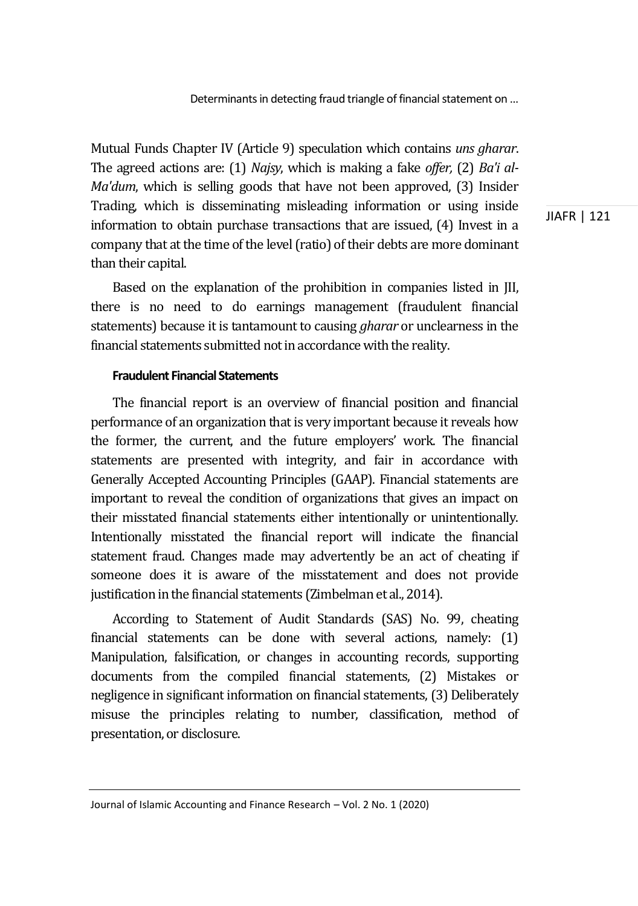Mutual Funds Chapter IV (Article 9) speculation which contains *uns gharar*. The agreed actions are: (1) *Najsy*, which is making a fake *offer,* (2) *Ba'i al-Ma'dum*, which is selling goods that have not been approved, (3) Insider Trading, which is disseminating misleading information or using inside information to obtain purchase transactions that are issued, (4) Invest in a company that at the time of the level (ratio) of their debts are more dominant than their capital.

Based on the explanation of the prohibition in companies listed in JII, there is no need to do earnings management (fraudulent financial statements) because it is tantamount to causing *gharar* or unclearness in the financial statements submitted not in accordance with the reality.

#### **Fraudulent Financial Statements**

The financial report is an overview of financial position and financial performance of an organization that is very important because it reveals how the former, the current, and the future employers' work. The financial statements are presented with integrity, and fair in accordance with Generally Accepted Accounting Principles (GAAP). Financial statements are important to reveal the condition of organizations that gives an impact on their misstated financial statements either intentionally or unintentionally. Intentionally misstated the financial report will indicate the financial statement fraud. Changes made may advertently be an act of cheating if someone does it is aware of the misstatement and does not provide justification in the financial statements (Zimbelman et al., 2014).

According to Statement of Audit Standards (SAS) No. 99, cheating financial statements can be done with several actions, namely: (1) Manipulation, falsification, or changes in accounting records, supporting documents from the compiled financial statements, (2) Mistakes or negligence in significant information on financial statements, (3) Deliberately misuse the principles relating to number, classification, method of presentation, or disclosure.

Journal of Islamic Accounting and Finance Research – Vol. 2 No. 1 (2020)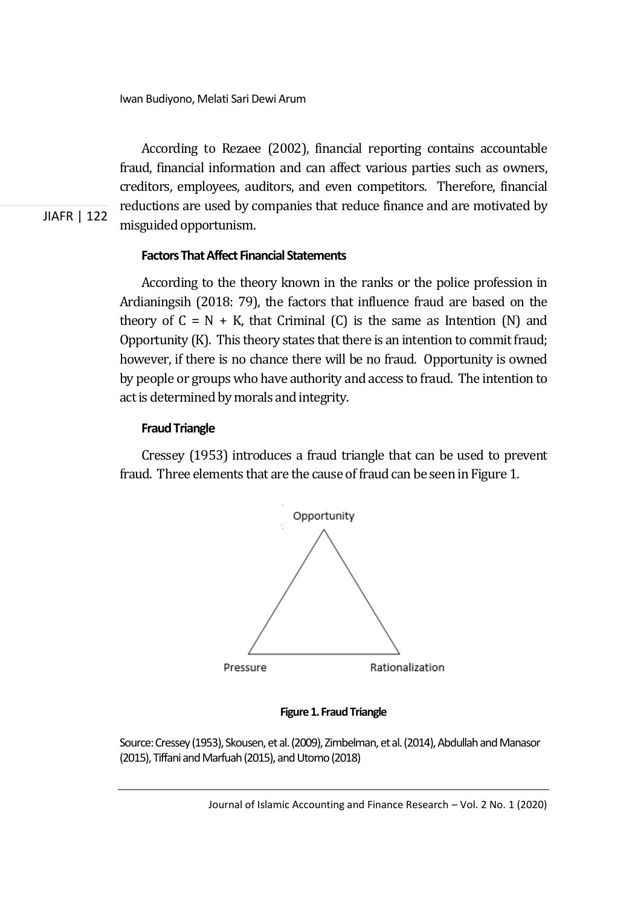According to Rezaee (2002), financial reporting contains accountable fraud, financial information and can affect various parties such as owners, creditors, employees, auditors, and even competitors. Therefore, financial reductions are used by companies that reduce finance and are motivated by misguided opportunism.

### **Factors That Affect Financial Statements**

According to the theory known in the ranks or the police profession in Ardianingsih (2018: 79), the factors that influence fraud are based on the theory of  $C = N + K$ , that Criminal (C) is the same as Intention (N) and Opportunity (K). This theory states that there is an intention to commit fraud; however, if there is no chance there will be no fraud. Opportunity is owned by people or groups who have authority and access to fraud. The intention to act is determined by morals and integrity.

#### **Fraud Triangle**

JIAFR | 122

Cressey (1953) introduces a fraud triangle that can be used to prevent fraud. Three elements that are the cause of fraud can be seen in Figure 1.





Source: Cressey (1953), Skousen, et al. (2009), Zimbelman, et al. (2014), Abdullah and Manasor (2015), Tiffani and Marfuah (2015), and Utomo (2018)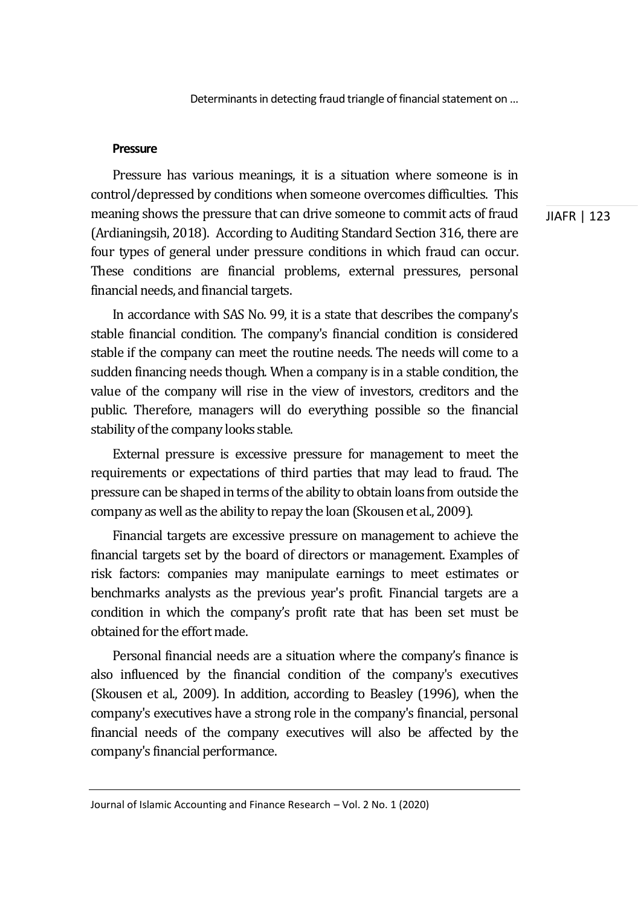#### **Pressure**

Pressure has various meanings, it is a situation where someone is in control/depressed by conditions when someone overcomes difficulties. This meaning shows the pressure that can drive someone to commit acts of fraud (Ardianingsih, 2018). According to Auditing Standard Section 316, there are four types of general under pressure conditions in which fraud can occur. These conditions are financial problems, external pressures, personal financial needs, and financial targets.

In accordance with SAS No. 99, it is a state that describes the company's stable financial condition. The company's financial condition is considered stable if the company can meet the routine needs. The needs will come to a sudden financing needs though. When a company is in a stable condition, the value of the company will rise in the view of investors, creditors and the public. Therefore, managers will do everything possible so the financial stability of the company looks stable.

External pressure is excessive pressure for management to meet the requirements or expectations of third parties that may lead to fraud. The pressure can be shaped in terms of the ability to obtain loans from outside the company as well as the ability to repay the loan (Skousen et al., 2009).

Financial targets are excessive pressure on management to achieve the financial targets set by the board of directors or management. Examples of risk factors: companies may manipulate earnings to meet estimates or benchmarks analysts as the previous year's profit. Financial targets are a condition in which the company's profit rate that has been set must be obtained for the effort made.

Personal financial needs are a situation where the company's finance is also influenced by the financial condition of the company's executives (Skousen et al., 2009). In addition, according to Beasley (1996), when the company's executives have a strong role in the company's financial, personal financial needs of the company executives will also be affected by the company's financial performance.

Journal of Islamic Accounting and Finance Research – Vol. 2 No. 1 (2020)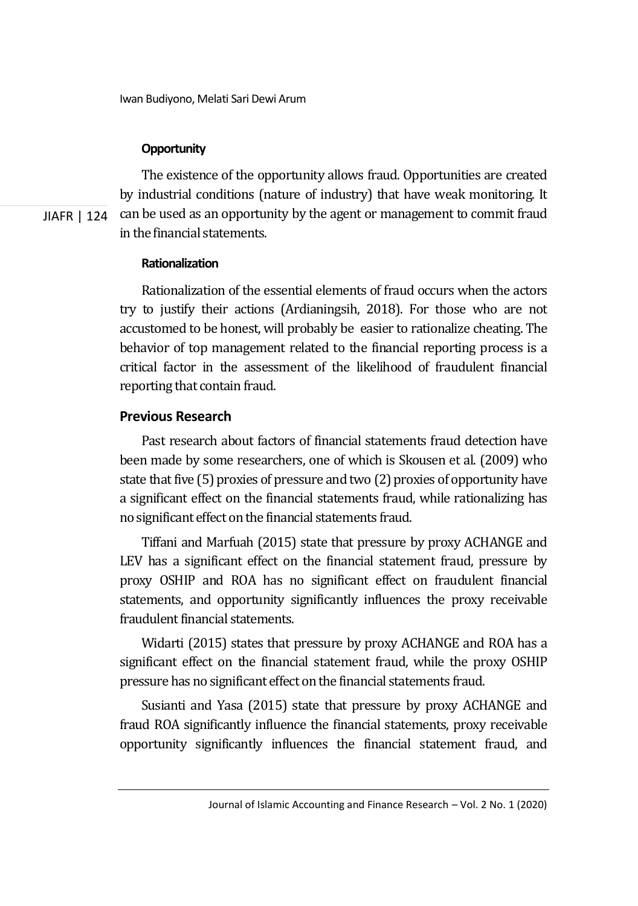### **Opportunity**

JIAFR | 124 The existence of the opportunity allows fraud. Opportunities are created by industrial conditions (nature of industry) that have weak monitoring. It can be used as an opportunity by the agent or management to commit fraud in the financial statements.

### **Rationalization**

Rationalization of the essential elements of fraud occurs when the actors try to justify their actions (Ardianingsih, 2018). For those who are not accustomed to be honest, will probably be easier to rationalize cheating. The behavior of top management related to the financial reporting process is a critical factor in the assessment of the likelihood of fraudulent financial reporting that contain fraud.

### **Previous Research**

Past research about factors of financial statements fraud detection have been made by some researchers, one of which is Skousen et al. (2009) who state that five (5) proxies of pressure and two (2) proxies of opportunity have a significant effect on the financial statements fraud, while rationalizing has no significant effect on the financial statements fraud.

Tiffani and Marfuah (2015) state that pressure by proxy ACHANGE and LEV has a significant effect on the financial statement fraud, pressure by proxy OSHIP and ROA has no significant effect on fraudulent financial statements, and opportunity significantly influences the proxy receivable fraudulent financial statements.

Widarti (2015) states that pressure by proxy ACHANGE and ROA has a significant effect on the financial statement fraud, while the proxy OSHIP pressure has no significant effect on the financial statements fraud.

Susianti and Yasa (2015) state that pressure by proxy ACHANGE and fraud ROA significantly influence the financial statements, proxy receivable opportunity significantly influences the financial statement fraud, and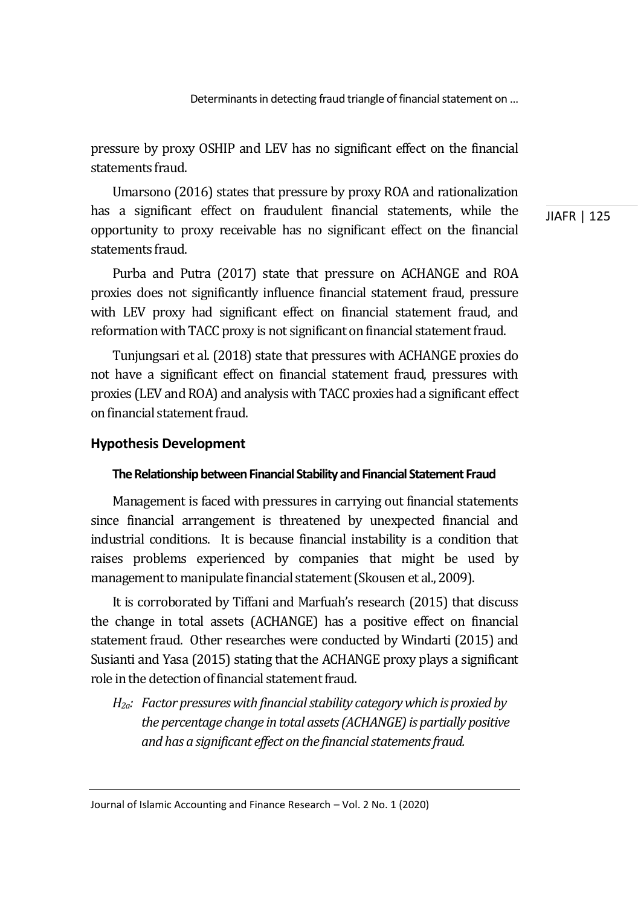pressure by proxy OSHIP and LEV has no significant effect on the financial statements fraud.

Umarsono (2016) states that pressure by proxy ROA and rationalization has a significant effect on fraudulent financial statements, while the opportunity to proxy receivable has no significant effect on the financial statements fraud.

Purba and Putra (2017) state that pressure on ACHANGE and ROA proxies does not significantly influence financial statement fraud, pressure with LEV proxy had significant effect on financial statement fraud, and reformation with TACC proxy is not significant on financial statement fraud.

Tunjungsari et al. (2018) state that pressures with ACHANGE proxies do not have a significant effect on financial statement fraud, pressures with proxies (LEV and ROA) and analysis with TACC proxies had a significant effect on financial statement fraud.

#### **Hypothesis Development**

#### **The Relationship between Financial Stability and Financial Statement Fraud**

Management is faced with pressures in carrying out financial statements since financial arrangement is threatened by unexpected financial and industrial conditions. It is because financial instability is a condition that raises problems experienced by companies that might be used by management to manipulate financial statement (Skousen et al., 2009).

It is corroborated by Tiffani and Marfuah's research (2015) that discuss the change in total assets (ACHANGE) has a positive effect on financial statement fraud. Other researches were conducted by Windarti (2015) and Susianti and Yasa (2015) stating that the ACHANGE proxy plays a significant role in the detection of financial statement fraud.

*H2a: Factor pressures with financial stability category which is proxied by the percentage change in total assets (ACHANGE) is partially positive and has a significant effect on the financial statements fraud.* 

Journal of Islamic Accounting and Finance Research – Vol. 2 No. 1 (2020)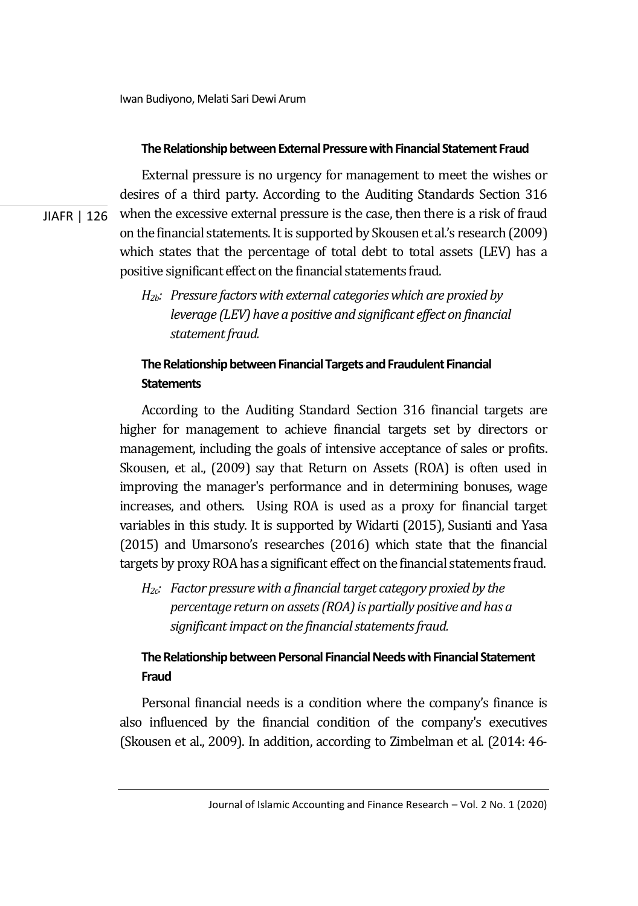JIAFR | 126

### **The Relationship between External Pressure with Financial Statement Fraud**

External pressure is no urgency for management to meet the wishes or desires of a third party. According to the Auditing Standards Section 316 when the excessive external pressure is the case, then there is a risk of fraud on the financial statements. It is supported by Skousen et al.'s research (2009) which states that the percentage of total debt to total assets (LEV) has a positive significant effect on the financial statements fraud.

*H2b: Pressure factors with external categories which are proxied by leverage (LEV) have a positive and significant effect on financial statement fraud.* 

## **The Relationship between Financial Targets and Fraudulent Financial Statements**

According to the Auditing Standard Section 316 financial targets are higher for management to achieve financial targets set by directors or management, including the goals of intensive acceptance of sales or profits. Skousen, et al., (2009) say that Return on Assets (ROA) is often used in improving the manager's performance and in determining bonuses, wage increases, and others. Using ROA is used as a proxy for financial target variables in this study. It is supported by Widarti (2015), Susianti and Yasa (2015) and Umarsono's researches (2016) which state that the financial targets by proxy ROA has a significant effect on the financial statements fraud.

*H2c: Factor pressure with a financial target category proxied by the percentage return on assets (ROA) is partially positive and has a significant impact on the financial statements fraud.* 

## **The Relationship between Personal Financial Needs with Financial Statement Fraud**

Personal financial needs is a condition where the company's finance is also influenced by the financial condition of the company's executives (Skousen et al., 2009). In addition, according to Zimbelman et al. (2014: 46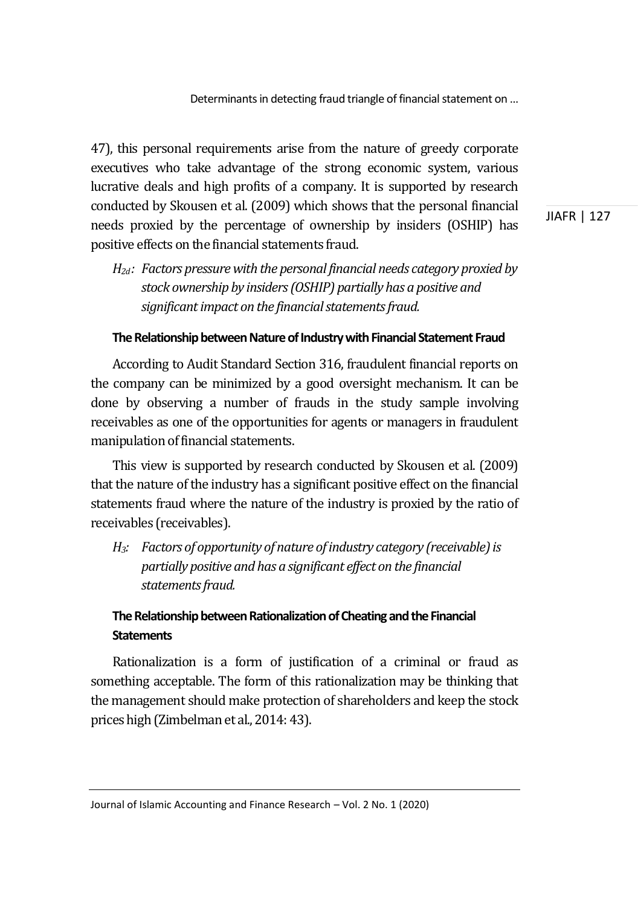47), this personal requirements arise from the nature of greedy corporate executives who take advantage of the strong economic system, various lucrative deals and high profits of a company. It is supported by research conducted by Skousen et al. (2009) which shows that the personal financial needs proxied by the percentage of ownership by insiders (OSHIP) has positive effects on the financial statements fraud.

*H2d : Factors pressure with the personal financial needs category proxied by stock ownership by insiders (OSHIP) partially has a positive and significant impact on the financial statements fraud.* 

### **The Relationship between Nature of Industry with Financial Statement Fraud**

According to Audit Standard Section 316, fraudulent financial reports on the company can be minimized by a good oversight mechanism. It can be done by observing a number of frauds in the study sample involving receivables as one of the opportunities for agents or managers in fraudulent manipulation of financial statements.

This view is supported by research conducted by Skousen et al. (2009) that the nature of the industry has a significant positive effect on the financial statements fraud where the nature of the industry is proxied by the ratio of receivables (receivables).

*H3: Factors of opportunity of nature of industry category (receivable) is partially positive and has a significant effect on the financial statements fraud.* 

### **The Relationship between Rationalization of Cheating and the Financial Statements**

Rationalization is a form of justification of a criminal or fraud as something acceptable. The form of this rationalization may be thinking that the management should make protection of shareholders and keep the stock prices high (Zimbelman et al., 2014: 43).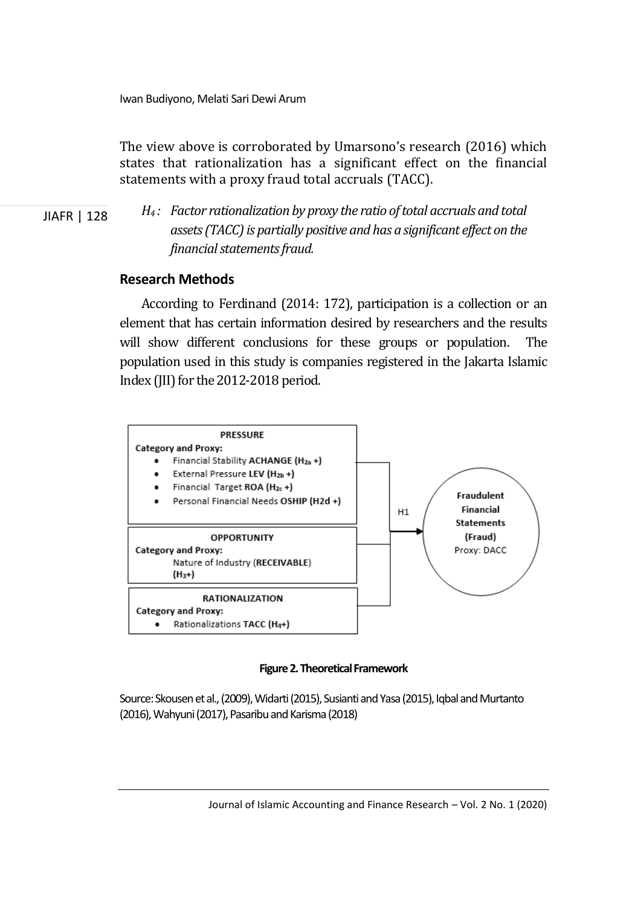Iwan Budiyono, Melati Sari Dewi Arum

The view above is corroborated by Umarsono's research (2016) which states that rationalization has a significant effect on the financial statements with a proxy fraud total accruals (TACC).

JIAFR | 128

*H4 : Factor rationalization by proxy the ratio of total accruals and total assets (TACC) is partially positive and has a significant effect on the financial statements fraud.* 

### **Research Methods**

According to Ferdinand (2014: 172), participation is a collection or an element that has certain information desired by researchers and the results will show different conclusions for these groups or population. The population used in this study is companies registered in the Jakarta Islamic Index (JII) for the 2012-2018 period.



**Figure 2. Theoretical Framework** 

Source: Skousen et al., (2009), Widarti (2015), Susianti and Yasa (2015), Iqbal and Murtanto (2016), Wahyuni (2017), Pasaribu and Karisma (2018)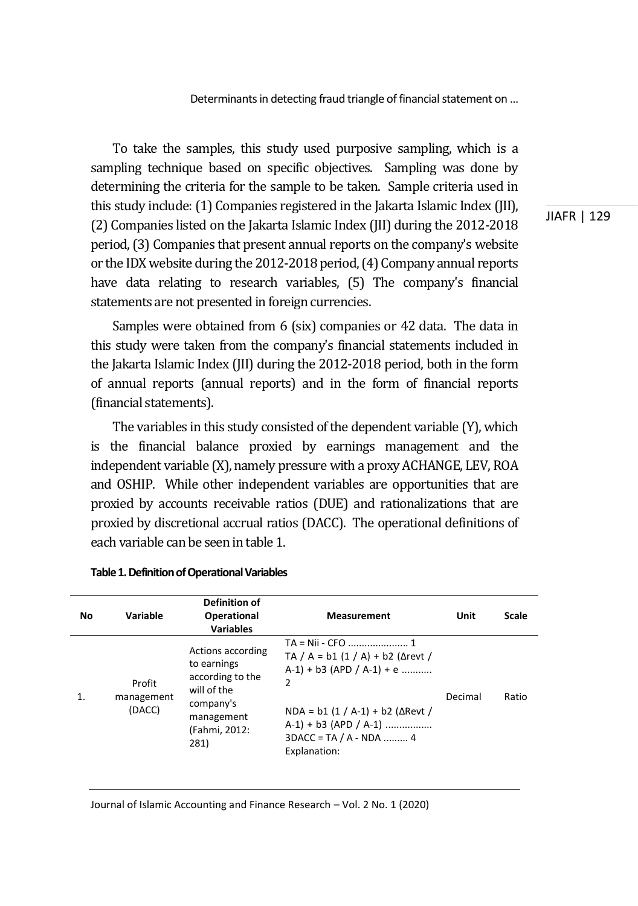To take the samples, this study used purposive sampling, which is a sampling technique based on specific objectives. Sampling was done by determining the criteria for the sample to be taken. Sample criteria used in this study include: (1) Companies registered in the Jakarta Islamic Index (JII), (2) Companies listed on the Jakarta Islamic Index (JII) during the 2012-2018 period, (3) Companies that present annual reports on the company's website or the IDX website during the 2012-2018 period, (4) Company annual reports have data relating to research variables, (5) The company's financial statements are not presented in foreign currencies.

Samples were obtained from 6 (six) companies or 42 data. The data in this study were taken from the company's financial statements included in the Jakarta Islamic Index (JII) during the 2012-2018 period, both in the form of annual reports (annual reports) and in the form of financial reports (financial statements).

The variables in this study consisted of the dependent variable (Y), which is the financial balance proxied by earnings management and the independent variable (X), namely pressure with a proxy ACHANGE, LEV, ROA and OSHIP. While other independent variables are opportunities that are proxied by accounts receivable ratios (DUE) and rationalizations that are proxied by discretional accrual ratios (DACC). The operational definitions of each variable can be seen in table 1.

| No | Variable                       | <b>Definition of</b><br><b>Operational</b><br><b>Variables</b>                                                          | <b>Measurement</b>                                                                                                                                                                                                | Unit    | Scale |
|----|--------------------------------|-------------------------------------------------------------------------------------------------------------------------|-------------------------------------------------------------------------------------------------------------------------------------------------------------------------------------------------------------------|---------|-------|
|    | Profit<br>management<br>(DACC) | Actions according<br>to earnings<br>according to the<br>will of the<br>company's<br>management<br>(Fahmi, 2012:<br>281) | TA / A = b1 (1 / A) + b2 ( $\Delta$ revt /<br>$A-1$ ) + b3 (APD / A-1) + e<br>$\overline{2}$<br>$NDA = b1 (1 / A-1) + b2 ( \Delta Revt /$<br>$A-1$ ) + b3 (APD / A-1)<br>$3DACC = TA / A - NDA$ 4<br>Explanation: | Decimal | Ratio |

#### **Table 1. Definition of Operational Variables**

JIAFR | 129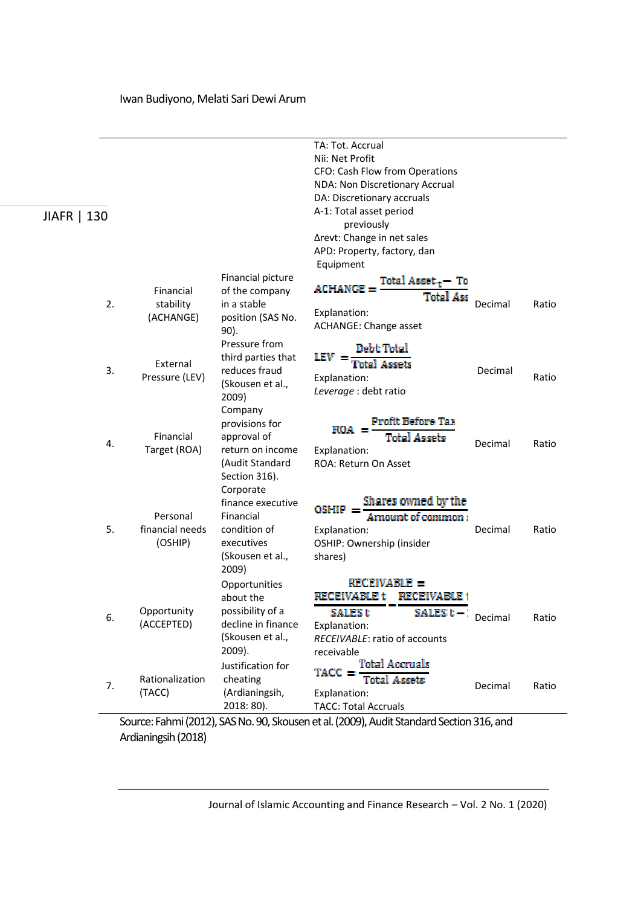| JIAFR   130 |                                        |                                                                                                        | TA: Tot. Accrual<br>Nii: Net Profit<br>CFO: Cash Flow from Operations<br>NDA: Non Discretionary Accrual<br>DA: Discretionary accruals<br>A-1: Total asset period<br>previously |         |       |
|-------------|----------------------------------------|--------------------------------------------------------------------------------------------------------|--------------------------------------------------------------------------------------------------------------------------------------------------------------------------------|---------|-------|
|             |                                        |                                                                                                        | ∆revt: Change in net sales<br>APD: Property, factory, dan<br>Equipment                                                                                                         |         |       |
| 2.          | Financial<br>stability<br>(ACHANGE)    | Financial picture<br>of the company<br>in a stable<br>position (SAS No.<br>90).                        | $\text{ACHANGE} = \frac{\text{Total Asset}_t - \text{To}}{1}$<br><b>Total Ass</b><br>Explanation:<br>ACHANGE: Change asset                                                     | Decimal | Ratio |
| 3.          | External<br>Pressure (LEV)             | Pressure from<br>third parties that<br>reduces fraud<br>(Skousen et al.,<br>2009)                      | Debt Total<br>$E_V =$<br><b>Total Assets</b><br>Explanation:<br>Leverage : debt ratio                                                                                          | Decimal | Ratio |
| 4.          | Financial<br>Target (ROA)              | Company<br>provisions for<br>approval of<br>return on income<br>(Audit Standard<br>Section 316).       | <b>Profit Before Tax</b><br>$_{\rm ROA} =$<br><b>Total Assets</b><br>Explanation:<br>ROA: Return On Asset                                                                      | Decimal | Ratio |
| 5.          | Personal<br>financial needs<br>(OSHIP) | Corporate<br>finance executive<br>Financial<br>condition of<br>executives<br>(Skousen et al.,<br>2009) | Shares owned by the<br>Amount of common:<br>$OSHIP =$<br>Explanation:<br>OSHIP: Ownership (insider<br>shares)                                                                  | Decimal | Ratio |
| 6.          | Opportunity<br>(ACCEPTED)              | Opportunities<br>about the<br>possibility of a<br>decline in finance<br>(Skousen et al.,<br>2009).     | RECEIVABLE =<br><b>RECEIVABLE t</b><br><b>RECEIVABLE 1</b><br><b>SALES<sub>t</sub></b><br>$SALES t - 1$<br>Explanation:<br>RECEIVABLE: ratio of accounts<br>receivable         | Decimal | Ratio |
| 7.          | Rationalization<br>(TACC)              | Justification for<br>cheating<br>(Ardianingsih,<br>$2018:80$ ).                                        | Total Accruais<br>$TACC =$<br><b>Total Assets</b><br>Explanation:<br><b>TACC: Total Accruals</b>                                                                               | Decimal | Ratio |

Source: Fahmi (2012), SAS No. 90, Skousen et al. (2009), Audit Standard Section 316, and Ardianingsih (2018)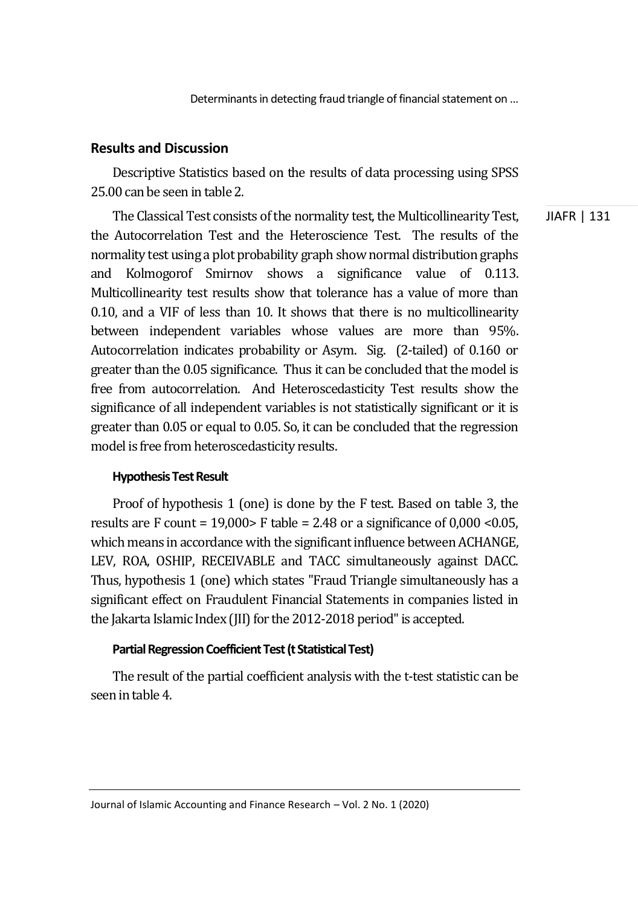### **Results and Discussion**

Descriptive Statistics based on the results of data processing using SPSS 25.00 can be seen in table 2.

JIAFR | 131 The Classical Test consists of the normality test, the Multicollinearity Test, the Autocorrelation Test and the Heteroscience Test. The results of the normality test using a plot probability graph show normal distribution graphs and Kolmogorof Smirnov shows a significance value of 0.113. Multicollinearity test results show that tolerance has a value of more than 0.10, and a VIF of less than 10. It shows that there is no multicollinearity between independent variables whose values are more than 95%. Autocorrelation indicates probability or Asym. Sig. (2-tailed) of 0.160 or greater than the 0.05 significance. Thus it can be concluded that the model is free from autocorrelation. And Heteroscedasticity Test results show the significance of all independent variables is not statistically significant or it is greater than 0.05 or equal to 0.05. So, it can be concluded that the regression model is free from heteroscedasticity results.

#### **Hypothesis Test Result**

Proof of hypothesis 1 (one) is done by the F test. Based on table 3, the results are F count =  $19,000$  F table =  $2.48$  or a significance of  $0,000$  <  $0.05$ , which means in accordance with the significant influence between ACHANGE, LEV, ROA, OSHIP, RECEIVABLE and TACC simultaneously against DACC. Thus, hypothesis 1 (one) which states "Fraud Triangle simultaneously has a significant effect on Fraudulent Financial Statements in companies listed in the Jakarta Islamic Index (JII) for the 2012-2018 period" is accepted.

#### **Partial Regression Coefficient Test (t Statistical Test)**

The result of the partial coefficient analysis with the t-test statistic can be seen in table 4.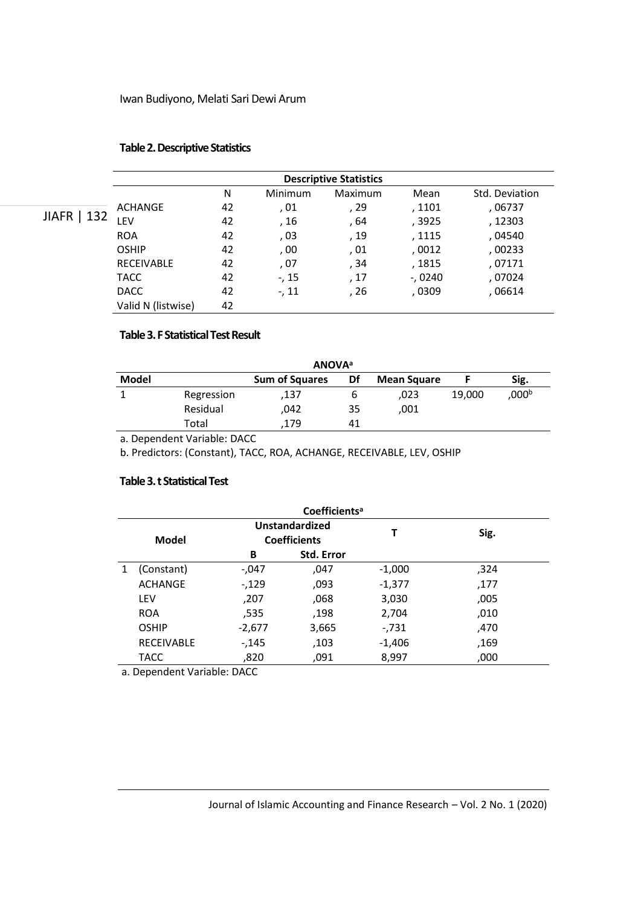#### **Table 2. Descriptive Statistics**

|                     | <b>Descriptive Statistics</b> |    |         |         |           |                |  |
|---------------------|-------------------------------|----|---------|---------|-----------|----------------|--|
|                     |                               | N  | Minimum | Maximum | Mean      | Std. Deviation |  |
|                     | ACHANGE                       | 42 | . 01    | , 29    | , 1101    | , 06737        |  |
| 132<br><b>JIAFR</b> | LEV                           | 42 | , 16    | , 64    | , 3925    | , 12303        |  |
|                     | <b>ROA</b>                    | 42 | , 03    | , 19    | , 1115    | , 04540        |  |
|                     | <b>OSHIP</b>                  | 42 | , 00    | , 01    | ,0012     | ,00233         |  |
|                     | <b>RECEIVABLE</b>             | 42 | , 07    | , 34    | , 1815    | , 07171        |  |
|                     | <b>TACC</b>                   | 42 | $-15$   | ,17     | $-0.0240$ | , 07024        |  |
|                     | <b>DACC</b>                   | 42 | $-11$   | , 26    | , 0309    | , 06614        |  |
|                     | Valid N (listwise)            | 42 |         |         |           |                |  |

#### **Table 3. F Statistical Test Result**

| <b>ANOVA</b> <sup>a</sup> |            |                       |    |                    |        |       |  |
|---------------------------|------------|-----------------------|----|--------------------|--------|-------|--|
| Model                     |            | <b>Sum of Squares</b> | Df | <b>Mean Square</b> |        | Sig.  |  |
|                           | Regression | .137                  |    | .023               | 19,000 | ,000b |  |
|                           | Residual   | .042                  | 35 | .001               |        |       |  |
|                           | Total      | 179                   | 41 |                    |        |       |  |

a. Dependent Variable: DACC

b. Predictors: (Constant), TACC, ROA, ACHANGE, RECEIVABLE, LEV, OSHIP

#### **Table 3. t Statistical Test**

| Coefficients <sup>a</sup> |          |                                              |          |      |  |  |
|---------------------------|----------|----------------------------------------------|----------|------|--|--|
| Model                     |          | <b>Unstandardized</b><br><b>Coefficients</b> |          | Sig. |  |  |
|                           | В        | <b>Std. Error</b>                            |          |      |  |  |
| (Constant)                | -,047    | ,047                                         | $-1,000$ | ,324 |  |  |
| <b>ACHANGE</b>            | $-129$   | ,093                                         | $-1,377$ | ,177 |  |  |
| LEV                       | ,207     | ,068                                         | 3,030    | ,005 |  |  |
| <b>ROA</b>                | ,535     | .198                                         | 2,704    | ,010 |  |  |
| <b>OSHIP</b>              | $-2,677$ | 3,665                                        | $-731$   | ,470 |  |  |
| <b>RECEIVABLE</b>         | $-145$   | 103,                                         | $-1,406$ | ,169 |  |  |
| <b>TACC</b>               | ,820     | ,091                                         | 8,997    | ,000 |  |  |
|                           |          |                                              |          | Τ    |  |  |

a. Dependent Variable: DACC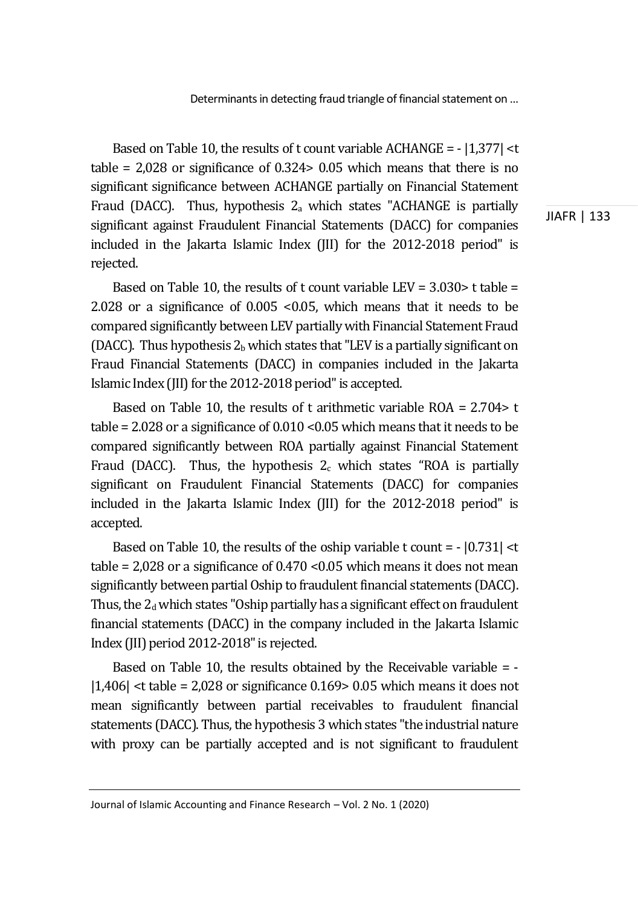Based on Table 10, the results of t count variable ACHANGE = - |1,377| <t table = 2,028 or significance of 0.324> 0.05 which means that there is no significant significance between ACHANGE partially on Financial Statement Fraud (DACC). Thus, hypothesis  $2<sub>a</sub>$  which states "ACHANGE is partially significant against Fraudulent Financial Statements (DACC) for companies included in the Jakarta Islamic Index (JII) for the 2012-2018 period" is rejected.

Based on Table 10, the results of t count variable LEV =  $3.030$  t table = 2.028 or a significance of 0.005 <0.05, which means that it needs to be compared significantly between LEV partially with Financial Statement Fraud (DACC). Thus hypothesis  $2<sub>b</sub>$  which states that "LEV is a partially significant on Fraud Financial Statements (DACC) in companies included in the Jakarta Islamic Index (JII) for the 2012-2018 period" is accepted.

Based on Table 10, the results of t arithmetic variable ROA = 2.704> t table = 2.028 or a significance of  $0.010 < 0.05$  which means that it needs to be compared significantly between ROA partially against Financial Statement Fraud (DACC). Thus, the hypothesis  $2<sub>c</sub>$  which states "ROA is partially significant on Fraudulent Financial Statements (DACC) for companies included in the Jakarta Islamic Index (JII) for the 2012-2018 period" is accepted.

Based on Table 10, the results of the oship variable t count = - |0.731| <t table =  $2,028$  or a significance of  $0.470$  <  $0.05$  which means it does not mean significantly between partial Oship to fraudulent financial statements (DACC). Thus, the  $2<sub>d</sub>$  which states "Oship partially has a significant effect on fraudulent financial statements (DACC) in the company included in the Jakarta Islamic Index (JII) period 2012-2018" is rejected.

Based on Table 10, the results obtained by the Receivable variable  $= -1$  $|1,406|$  <t table = 2,028 or significance 0.169> 0.05 which means it does not mean significantly between partial receivables to fraudulent financial statements (DACC). Thus, the hypothesis 3 which states "the industrial nature with proxy can be partially accepted and is not significant to fraudulent

Journal of Islamic Accounting and Finance Research – Vol. 2 No. 1 (2020)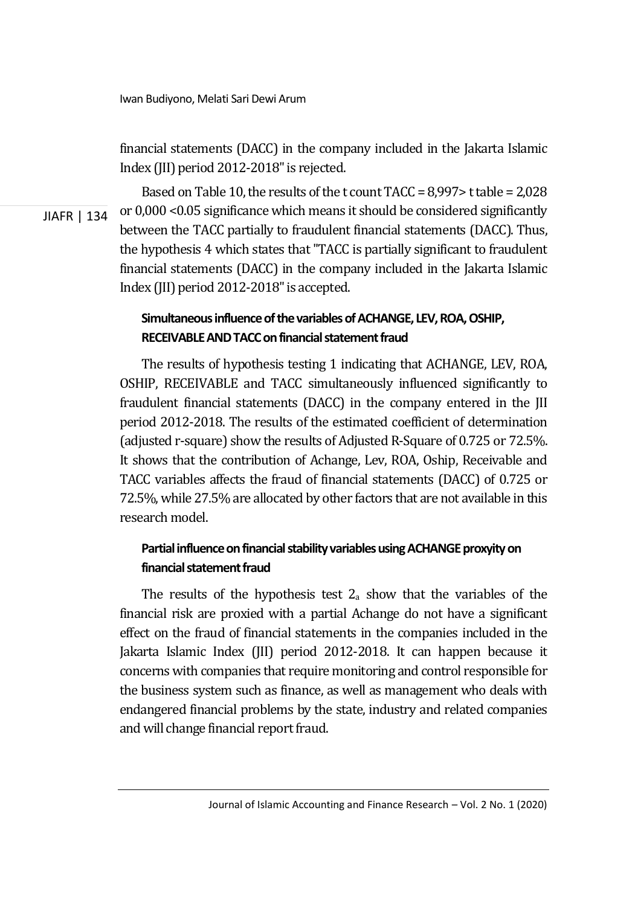financial statements (DACC) in the company included in the Jakarta Islamic Index (JII) period 2012-2018" is rejected.

JIAFR | 134

Based on Table 10, the results of the t count TACC = 8,997> t table = 2,028 or 0,000 <0.05 significance which means it should be considered significantly between the TACC partially to fraudulent financial statements (DACC). Thus, the hypothesis 4 which states that "TACC is partially significant to fraudulent financial statements (DACC) in the company included in the Jakarta Islamic Index (JII) period 2012-2018" is accepted.

## **Simultaneous influence of the variables of ACHANGE, LEV, ROA, OSHIP, RECEIVABLE AND TACC on financial statement fraud**

The results of hypothesis testing 1 indicating that ACHANGE, LEV, ROA, OSHIP, RECEIVABLE and TACC simultaneously influenced significantly to fraudulent financial statements (DACC) in the company entered in the JII period 2012-2018. The results of the estimated coefficient of determination (adjusted r-square) show the results of Adjusted R-Square of 0.725 or 72.5%. It shows that the contribution of Achange, Lev, ROA, Oship, Receivable and TACC variables affects the fraud of financial statements (DACC) of 0.725 or 72.5%, while 27.5% are allocated by other factors that are not available in this research model.

## **Partial influence on financial stability variables using ACHANGE proxyity on financial statement fraud**

The results of the hypothesis test  $2<sub>a</sub>$  show that the variables of the financial risk are proxied with a partial Achange do not have a significant effect on the fraud of financial statements in the companies included in the Jakarta Islamic Index (JII) period 2012-2018. It can happen because it concerns with companies that require monitoring and control responsible for the business system such as finance, as well as management who deals with endangered financial problems by the state, industry and related companies and will change financial report fraud.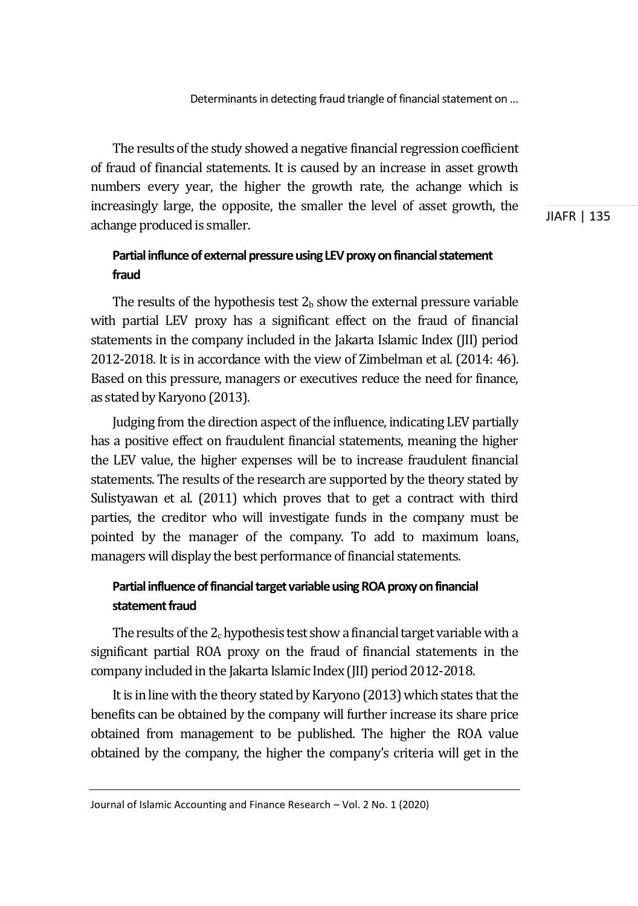The results of the study showed a negative financial regression coefficient of fraud of financial statements. It is caused by an increase in asset growth numbers every year, the higher the growth rate, the achange which is increasingly large, the opposite, the smaller the level of asset growth, the achange produced is smaller.

JIAFR | 135

## **Partial influnce of external pressure using LEV proxy on financial statement fraud**

The results of the hypothesis test  $2<sub>b</sub>$  show the external pressure variable with partial LEV proxy has a significant effect on the fraud of financial statements in the company included in the Jakarta Islamic Index (JII) period 2012-2018. It is in accordance with the view of Zimbelman et al. (2014: 46). Based on this pressure, managers or executives reduce the need for finance, as stated by Karyono (2013).

Judging from the direction aspect of the influence, indicating LEV partially has a positive effect on fraudulent financial statements, meaning the higher the LEV value, the higher expenses will be to increase fraudulent financial statements. The results of the research are supported by the theory stated by Sulistyawan et al. (2011) which proves that to get a contract with third parties, the creditor who will investigate funds in the company must be pointed by the manager of the company. To add to maximum loans, managers will display the best performance of financial statements.

### **Partial influence of financial target variable using ROA proxy on financial statement fraud**

The results of the  $2<sub>c</sub>$  hypothesis test show a financial target variable with a significant partial ROA proxy on the fraud of financial statements in the company included in the Jakarta Islamic Index (JII) period 2012-2018.

It is in line with the theory stated by Karyono (2013) which states that the benefits can be obtained by the company will further increase its share price obtained from management to be published. The higher the ROA value obtained by the company, the higher the company's criteria will get in the

Journal of Islamic Accounting and Finance Research – Vol. 2 No. 1 (2020)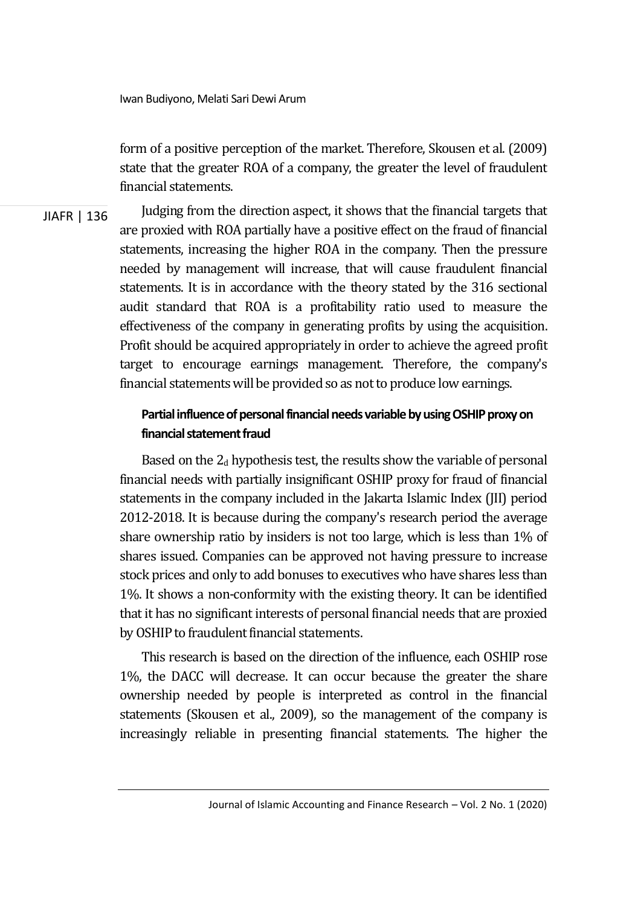Iwan Budiyono, Melati Sari Dewi Arum

form of a positive perception of the market. Therefore, Skousen et al. (2009) state that the greater ROA of a company, the greater the level of fraudulent financial statements.

JIAFR | 136 Judging from the direction aspect, it shows that the financial targets that are proxied with ROA partially have a positive effect on the fraud of financial statements, increasing the higher ROA in the company. Then the pressure needed by management will increase, that will cause fraudulent financial statements. It is in accordance with the theory stated by the 316 sectional audit standard that ROA is a profitability ratio used to measure the effectiveness of the company in generating profits by using the acquisition. Profit should be acquired appropriately in order to achieve the agreed profit target to encourage earnings management. Therefore, the company's financial statements will be provided so as not to produce low earnings.

### **Partial influence of personal financial needs variable by using OSHIP proxy on financial statement fraud**

Based on the  $2<sub>d</sub>$  hypothesis test, the results show the variable of personal financial needs with partially insignificant OSHIP proxy for fraud of financial statements in the company included in the Jakarta Islamic Index (JII) period 2012-2018. It is because during the company's research period the average share ownership ratio by insiders is not too large, which is less than 1% of shares issued. Companies can be approved not having pressure to increase stock prices and only to add bonuses to executives who have shares less than 1%. It shows a non-conformity with the existing theory. It can be identified that it has no significant interests of personal financial needs that are proxied by OSHIP to fraudulent financial statements.

This research is based on the direction of the influence, each OSHIP rose 1%, the DACC will decrease. It can occur because the greater the share ownership needed by people is interpreted as control in the financial statements (Skousen et al., 2009), so the management of the company is increasingly reliable in presenting financial statements. The higher the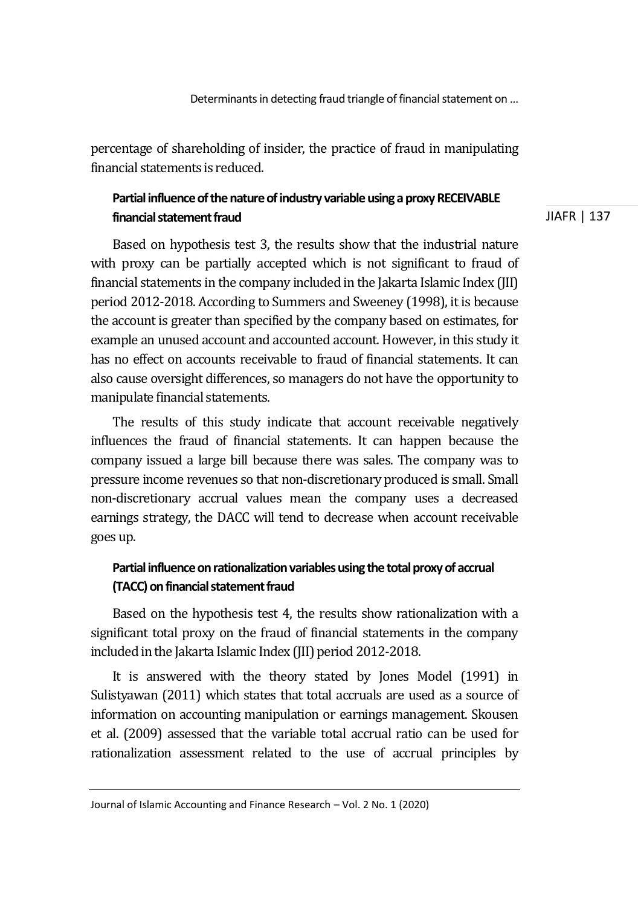percentage of shareholding of insider, the practice of fraud in manipulating financial statements is reduced.

### **Partial influence of the nature of industry variable using a proxy RECEIVABLE financial statement fraud**

Based on hypothesis test 3, the results show that the industrial nature with proxy can be partially accepted which is not significant to fraud of financial statements in the company included in the Jakarta Islamic Index (JII) period 2012-2018. According to Summers and Sweeney (1998), it is because the account is greater than specified by the company based on estimates, for example an unused account and accounted account. However, in this study it has no effect on accounts receivable to fraud of financial statements. It can also cause oversight differences, so managers do not have the opportunity to manipulate financial statements.

The results of this study indicate that account receivable negatively influences the fraud of financial statements. It can happen because the company issued a large bill because there was sales. The company was to pressure income revenues so that non-discretionary produced is small. Small non-discretionary accrual values mean the company uses a decreased earnings strategy, the DACC will tend to decrease when account receivable goes up.

### **Partial influence on rationalization variables using the total proxy of accrual (TACC) on financial statement fraud**

Based on the hypothesis test 4, the results show rationalization with a significant total proxy on the fraud of financial statements in the company included in the Jakarta Islamic Index (JII) period 2012-2018.

It is answered with the theory stated by Jones Model (1991) in Sulistyawan (2011) which states that total accruals are used as a source of information on accounting manipulation or earnings management. Skousen et al. (2009) assessed that the variable total accrual ratio can be used for rationalization assessment related to the use of accrual principles by

Journal of Islamic Accounting and Finance Research – Vol. 2 No. 1 (2020)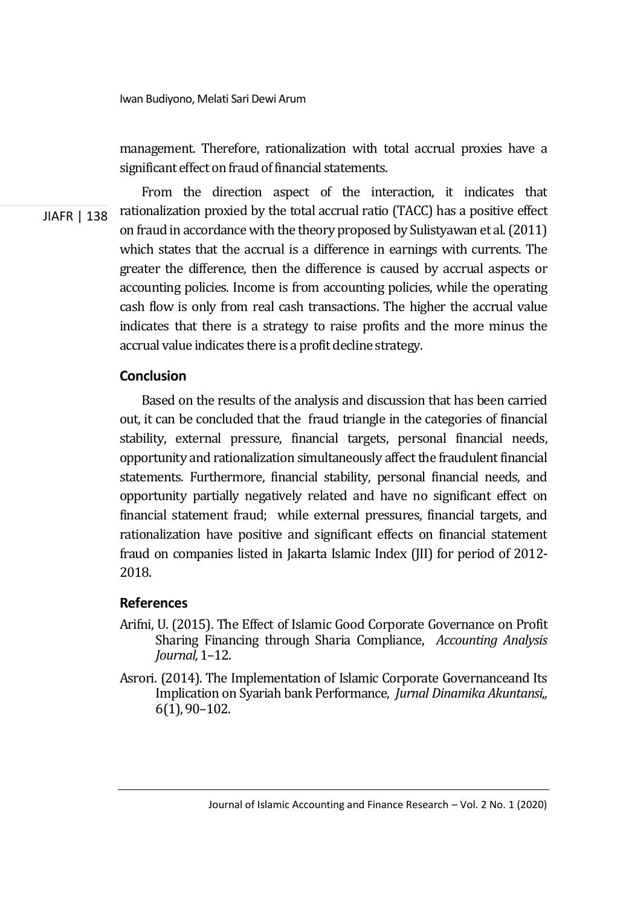management. Therefore, rationalization with total accrual proxies have a significant effect on fraud of financial statements.

JIAFR | 138 From the direction aspect of the interaction, it indicates that rationalization proxied by the total accrual ratio (TACC) has a positive effect on fraud in accordance with the theory proposed by Sulistyawan et al. (2011) which states that the accrual is a difference in earnings with currents. The greater the difference, then the difference is caused by accrual aspects or accounting policies. Income is from accounting policies, while the operating cash flow is only from real cash transactions. The higher the accrual value indicates that there is a strategy to raise profits and the more minus the accrual value indicates there is a profit decline strategy.

### **Conclusion**

Based on the results of the analysis and discussion that has been carried out, it can be concluded that the fraud triangle in the categories of financial stability, external pressure, financial targets, personal financial needs, opportunity and rationalization simultaneously affect the fraudulent financial statements. Furthermore, financial stability, personal financial needs, and opportunity partially negatively related and have no significant effect on financial statement fraud; while external pressures, financial targets, and rationalization have positive and significant effects on financial statement fraud on companies listed in Jakarta Islamic Index (JII) for period of 2012- 2018.

### **References**

- Arifni, U. (2015). The Effect of Islamic Good Corporate Governance on Profit Sharing Financing through Sharia Compliance, *Accounting Analysis Journal,* 1–12.
- Asrori. (2014). The Implementation of Islamic Corporate Governanceand Its Implication on Syariah bank Performance, *Jurnal Dinamika Akuntansi*,*,*  6(1), 90–102.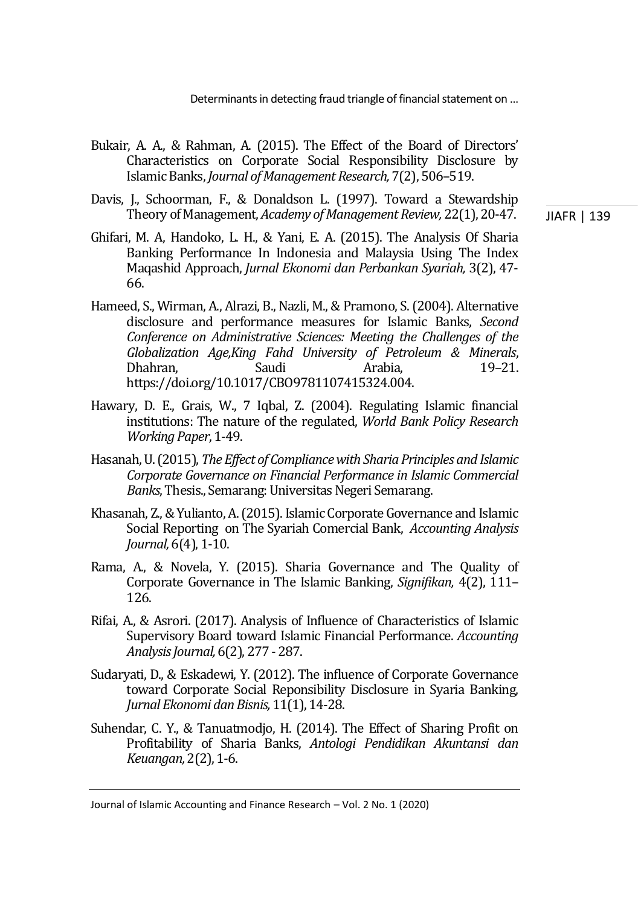- Bukair, A. A., & Rahman, A. (2015). The Effect of the Board of Directors' Characteristics on Corporate Social Responsibility Disclosure by Islamic Banks, *Journal of Management Research,* 7(2), 506–519.
- Davis, J., Schoorman, F., & Donaldson L. (1997). Toward a Stewardship Theory of Management, *Academy of Management Review,* 22(1), 20-47.
- Ghifari, M. A, Handoko, L. H., & Yani, E. A. (2015). The Analysis Of Sharia Banking Performance In Indonesia and Malaysia Using The Index Maqashid Approach, *Jurnal Ekonomi dan Perbankan Syariah,* 3(2), 47- 66.
- Hameed, S., Wirman, A., Alrazi, B., Nazli, M., & Pramono, S. (2004). Alternative disclosure and performance measures for Islamic Banks, *Second Conference on Administrative Sciences: Meeting the Challenges of the Globalization Age,King Fahd University of Petroleum & Minerals*, Dhahran, Saudi Arabia, 19–21. https://doi.org/10.1017/CBO9781107415324.004.
- Hawary, D. E., Grais, W., 7 Iqbal, Z. (2004). Regulating Islamic financial institutions: The nature of the regulated, *World Bank Policy Research Working Paper*, 1-49.
- Hasanah, U. (2015), *The Effect of Compliance with Sharia Principles and Islamic Corporate Governance on Financial Performance in Islamic Commercial Banks*, Thesis., Semarang: Universitas Negeri Semarang.
- Khasanah, Z., & Yulianto, A. (2015). Islamic Corporate Governance and Islamic Social Reporting on The Syariah Comercial Bank, *Accounting Analysis Journal,* 6(4), 1-10.
- Rama, A., & Novela, Y. (2015). Sharia Governance and The Quality of Corporate Governance in The Islamic Banking, *Signifikan,* 4(2), 111– 126.
- Rifai, A., & Asrori. (2017). Analysis of Influence of Characteristics of Islamic Supervisory Board toward Islamic Financial Performance. *Accounting Analysis Journal,* 6(2), 277 - 287.
- Sudaryati, D., & Eskadewi, Y. (2012). The influence of Corporate Governance toward Corporate Social Reponsibility Disclosure in Syaria Banking, *Jurnal Ekonomi dan Bisnis,* 11(1), 14-28.
- Suhendar, C. Y., & Tanuatmodjo, H. (2014). The Effect of Sharing Profit on Profitability of Sharia Banks, *Antologi Pendidikan Akuntansi dan Keuangan,* 2(2), 1-6.

Journal of Islamic Accounting and Finance Research – Vol. 2 No. 1 (2020)